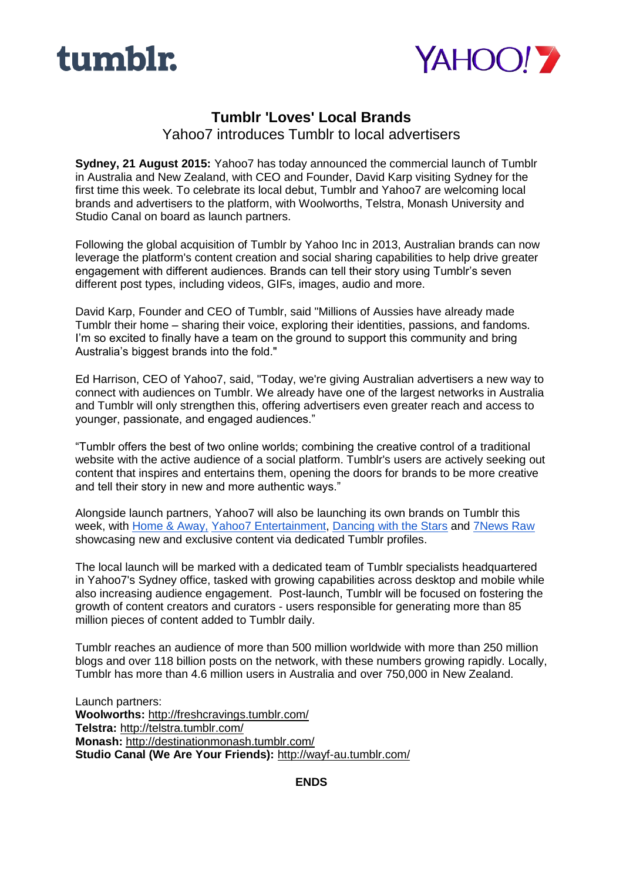



## **Tumblr 'Loves' Local Brands**

Yahoo7 introduces Tumblr to local advertisers

**Sydney, 21 August 2015:** Yahoo7 has today announced the commercial launch of Tumblr in Australia and New Zealand, with CEO and Founder, David Karp visiting Sydney for the first time this week. To celebrate its local debut, Tumblr and Yahoo7 are welcoming local brands and advertisers to the platform, with Woolworths, Telstra, Monash University and Studio Canal on board as launch partners.

Following the global acquisition of Tumblr by Yahoo Inc in 2013, Australian brands can now leverage the platform's content creation and social sharing capabilities to help drive greater engagement with different audiences. Brands can tell their story using Tumblr's seven different post types, including videos, GIFs, images, audio and more.

David Karp, Founder and CEO of Tumblr, said "Millions of Aussies have already made Tumblr their home – sharing their voice, exploring their identities, passions, and fandoms. I'm so excited to finally have a team on the ground to support this community and bring Australia's biggest brands into the fold."

Ed Harrison, CEO of Yahoo7, said, "Today, we're giving Australian advertisers a new way to connect with audiences on Tumblr. We already have one of the largest networks in Australia and Tumblr will only strengthen this, offering advertisers even greater reach and access to younger, passionate, and engaged audiences."

"Tumblr offers the best of two online worlds; combining the creative control of a traditional website with the active audience of a social platform. Tumblr's users are actively seeking out content that inspires and entertains them, opening the doors for brands to be more creative and tell their story in new and more authentic ways."

Alongside launch partners, Yahoo7 will also be launching its own brands on Tumblr this week, with [Home & Away,](http://theofficialhomeandaway.tumblr.com/) [Yahoo7 Entertainment,](http://yahoo7entertainment.tumblr.com/) [Dancing with the Stars](http://dancingau.tumblr.com/) and [7News Raw](http://yahoo7news.tumblr.com/) showcasing new and exclusive content via dedicated Tumblr profiles.

The local launch will be marked with a dedicated team of Tumblr specialists headquartered in Yahoo7's Sydney office, tasked with growing capabilities across desktop and mobile while also increasing audience engagement. Post-launch, Tumblr will be focused on fostering the growth of content creators and curators - users responsible for generating more than 85 million pieces of content added to Tumblr daily.

Tumblr reaches an audience of more than 500 million worldwide with more than 250 million blogs and over 118 billion posts on the network, with these numbers growing rapidly. Locally, Tumblr has more than 4.6 million users in Australia and over 750,000 in New Zealand.

Launch partners: **Woolworths:** [http://freshcravings.tumblr.com/](http://freshcravings.tumblr.com/?soc_src=mail&soc_trk=ma) **Telstra:** [http://telstra.tumblr.com/](http://telstra.tumblr.com/?soc_src=mail&soc_trk=ma) **Monash:** [http://destinationmonash.tumblr.com/](http://destinationmonash.tumblr.com/?soc_src=mail&soc_trk=ma) **Studio Canal (We Are Your Friends):** <http://wayf-au.tumblr.com/>